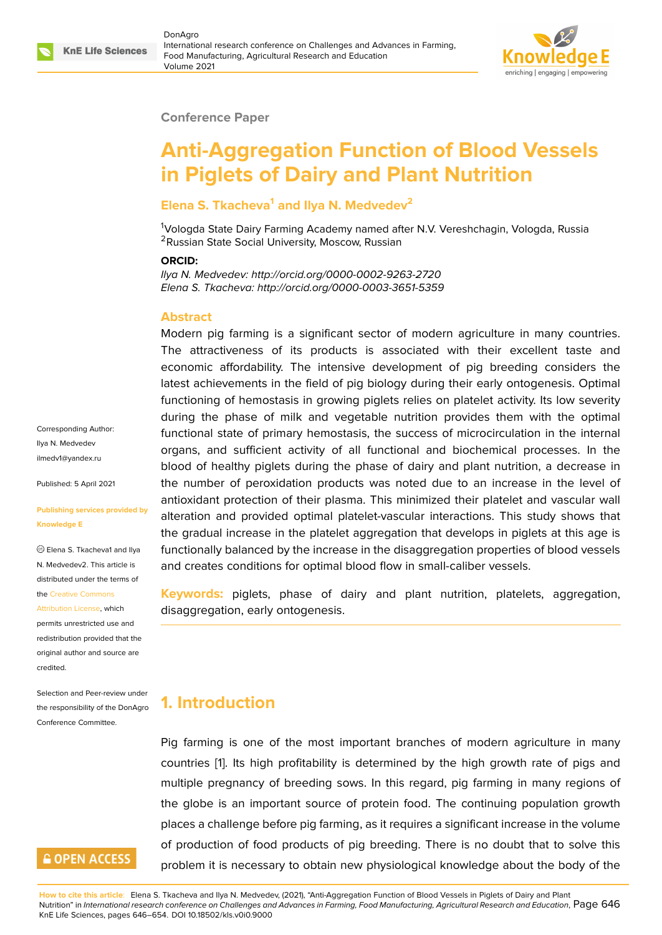#### **Conference Paper**

# **Anti-Aggregation Function of Blood Vessels in Piglets of Dairy and Plant Nutrition**

#### **Elena S. Tkacheva<sup>1</sup> and Ilya N. Medvedev<sup>2</sup>**

<sup>1</sup>Vologda State Dairy Farming Academy named after N.V. Vereshchagin, Vologda, Russia <sup>2</sup>Russian State Social University, Moscow, Russian

#### **ORCID:**

*Ilya N. Medvedev: http://orcid.org/0000-0002-9263-2720 Elena S. Tkacheva: http://orcid.org/0000-0003-3651-5359*

### **Abstract**

Modern pig farming is a significant sector of modern agriculture in many countries. The attractiveness of its products is associated with their excellent taste and economic affordability. The intensive development of pig breeding considers the latest achievements in the field of pig biology during their early ontogenesis. Optimal functioning of hemostasis in growing piglets relies on platelet activity. Its low severity during the phase of milk and vegetable nutrition provides them with the optimal functional state of primary hemostasis, the success of microcirculation in the internal organs, and sufficient activity of all functional and biochemical processes. In the blood of healthy piglets during the phase of dairy and plant nutrition, a decrease in the number of peroxidation products was noted due to an increase in the level of antioxidant protection of their plasma. This minimized their platelet and vascular wall alteration and provided optimal platelet-vascular interactions. This study shows that the gradual increase in the platelet aggregation that develops in piglets at this age is functionally balanced by the increase in the disaggregation properties of blood vessels and creates conditions for optimal blood flow in small-caliber vessels.

**Keywords:** piglets, phase of dairy and plant nutrition, platelets, aggregation, disaggregation, early ontogenesis.

# **1. Introduction**

Pig farming is one of the most important branches of modern agriculture in many countries [1]. Its high profitability is determined by the high growth rate of pigs and multiple pregnancy of breeding sows. In this regard, pig farming in many regions of the globe is an important source of protein food. The continuing population growth places a c[ha](#page-6-0)llenge before pig farming, as it requires a significant increase in the volume of production of food products of pig breeding. There is no doubt that to solve this problem it is necessary to obtain new physiological knowledge about the body of the

**How to cite this article**: Elena S. Tkacheva and Ilya N. Medvedev, (2021), "Anti-Aggregation Function of Blood Vessels in Piglets of Dairy and Plant Nutrition" in *International research conference on Challenges and Advances in Farming, Food Manufacturing, Agricultural Research and Education*, Page 646 KnE Life Sciences, pages 646–654. DOI 10.18502/kls.v0i0.9000

Corresponding Author: Ilya N. Medvedev ilmedv1@yandex.ru

Published: 5 April 2021

#### **[Publishing services](mailto:ilmedv1@yandex.ru) provided by Knowledge E**

Elena S. Tkacheva1 and Ilya N. Medvedev2. This article is distributed under the terms of the Creative Commons

Attribution License, which permits unrestricted use and redistribution provided that the orig[inal author and sou](https://creativecommons.org/licenses/by/4.0/)rce are [credited.](https://creativecommons.org/licenses/by/4.0/)

Selection and Peer-review under the responsibility of the DonAgro Conference Committee.

## **GOPEN ACCESS**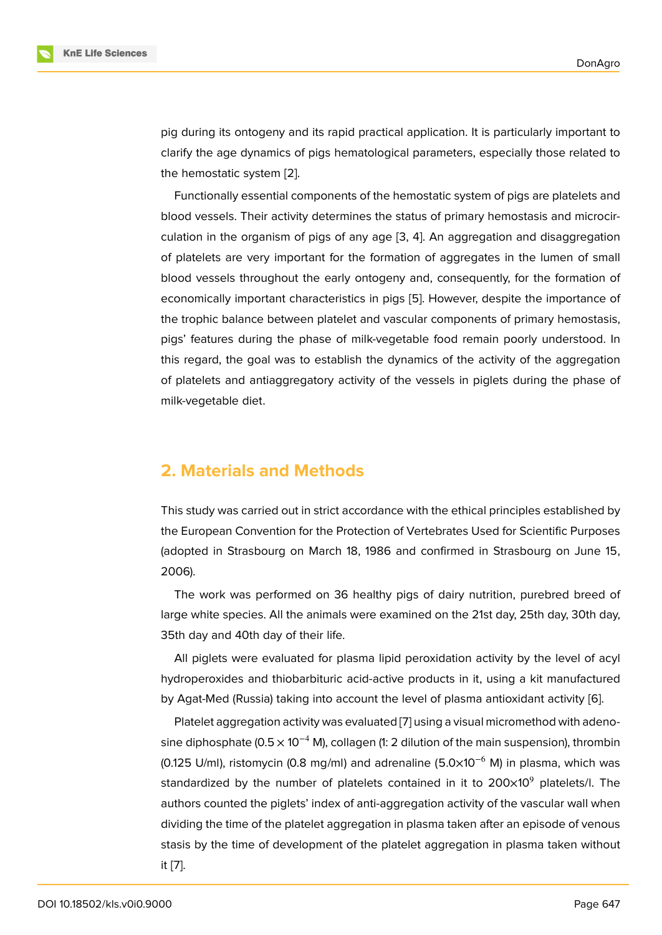pig during its ontogeny and its rapid practical application. It is particularly important to clarify the age dynamics of pigs hematological parameters, especially those related to the hemostatic system [2].

Functionally essential components of the hemostatic system of pigs are platelets and blood vessels. Their activity determines the status of primary hemostasis and microcirculation in the organis[m o](#page-6-1)f pigs of any age [3, 4]. An aggregation and disaggregation of platelets are very important for the formation of aggregates in the lumen of small blood vessels throughout the early ontogeny and, consequently, for the formation of economically important characteristics in pi[gs](#page-6-2) [[5\]](#page-6-3). However, despite the importance of the trophic balance between platelet and vascular components of primary hemostasis, pigs' features during the phase of milk-vegetable food remain poorly understood. In this regard, the goal was to establish the dyn[am](#page-6-4)ics of the activity of the aggregation of platelets and antiaggregatory activity of the vessels in piglets during the phase of milk-vegetable diet.

### **2. Materials and Methods**

This study was carried out in strict accordance with the ethical principles established by the European Convention for the Protection of Vertebrates Used for Scientific Purposes (adopted in Strasbourg on March 18, 1986 and confirmed in Strasbourg on June 15, 2006).

The work was performed on 36 healthy pigs of dairy nutrition, purebred breed of large white species. All the animals were examined on the 21st day, 25th day, 30th day, 35th day and 40th day of their life.

All piglets were evaluated for plasma lipid peroxidation activity by the level of acyl hydroperoxides and thiobarbituric acid-active products in it, using a kit manufactured by Agat-Med (Russia) taking into account the level of plasma antioxidant activity [6].

Platelet aggregation activity was evaluated [7] using a visual micromethod with adenosine diphosphate (0.5  $\times$  10<sup>-4</sup> M), collagen (1: 2 dilution of the main suspension), thrombin (0.125 U/ml), ristomycin (0.8 mg/ml) and adrenaline (5.0×10<sup>-6</sup> M) in plasma, w[h](#page-6-5)ich was standardized by the number of platelets co[nt](#page-7-0)ained in it to  $200\times10^9$  platelets/l. The authors counted the piglets' index of anti-aggregation activity of the vascular wall when dividing the time of the platelet aggregation in plasma taken after an episode of venous stasis by the time of development of the platelet aggregation in plasma taken without it [7].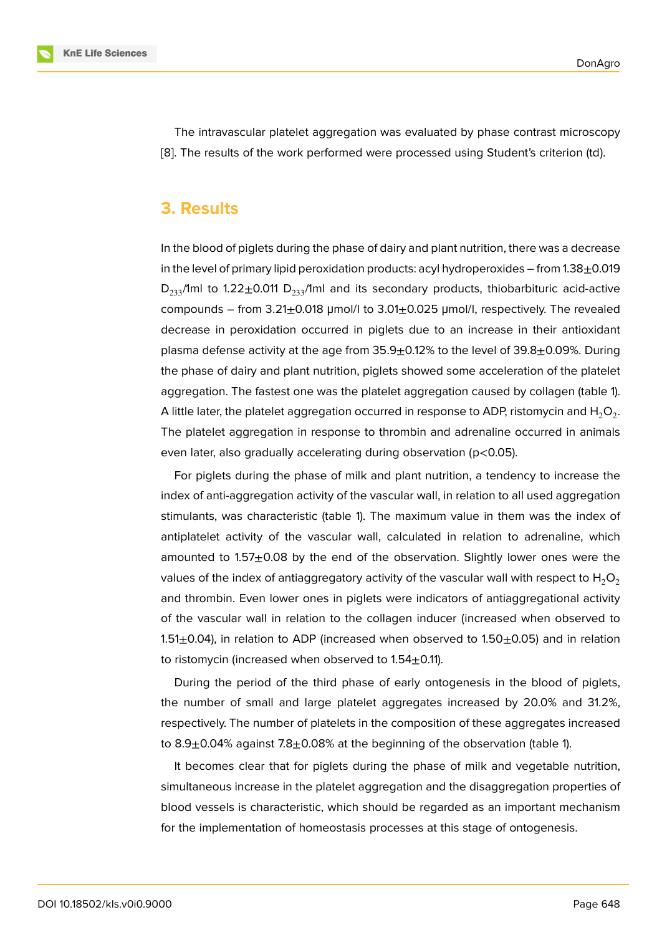The intravascular platelet aggregation was evaluated by phase contrast microscopy [8]. The results of the work performed were processed using Student's criterion (td).

### **[3](#page-7-1). Results**

In the blood of piglets during the phase of dairy and plant nutrition, there was a decrease in the level of primary lipid peroxidation products: acyl hydroperoxides – from  $1.38\pm0.019$  $D_{233}$ /1ml to 1.22 $\pm$ 0.011  $D_{233}$ /1ml and its secondary products, thiobarbituric acid-active compounds – from  $3.21\pm0.018$  µmol/l to  $3.01\pm0.025$  µmol/l, respectively. The revealed decrease in peroxidation occurred in piglets due to an increase in their antioxidant plasma defense activity at the age from  $35.9 \pm 0.12\%$  to the level of  $39.8 \pm 0.09\%$ . During the phase of dairy and plant nutrition, piglets showed some acceleration of the platelet aggregation. The fastest one was the platelet aggregation caused by collagen (table 1). A little later, the platelet aggregation occurred in response to ADP, ristomycin and  ${\sf H}_2{\sf O}_2.$ The platelet aggregation in response to thrombin and adrenaline occurred in animals even later, also gradually accelerating during observation (p<0.05).

For piglets during the phase of milk and plant nutrition, a tendency to increase the index of anti-aggregation activity of the vascular wall, in relation to all used aggregation stimulants, was characteristic (table 1). The maximum value in them was the index of antiplatelet activity of the vascular wall, calculated in relation to adrenaline, which amounted to  $1.57\pm0.08$  by the end of the observation. Slightly lower ones were the values of the index of antiaggregatory activity of the vascular wall with respect to  $H_2O_2$ and thrombin. Even lower ones in piglets were indicators of antiaggregational activity of the vascular wall in relation to the collagen inducer (increased when observed to 1.51 $\pm$ 0.04), in relation to ADP (increased when observed to 1.50 $\pm$ 0.05) and in relation to ristomycin (increased when observed to  $1.54\pm0.11$ ).

During the period of the third phase of early ontogenesis in the blood of piglets, the number of small and large platelet aggregates increased by 20.0% and 31.2%, respectively. The number of platelets in the composition of these aggregates increased to 8.9 $\pm$ 0.04% against 7.8 $\pm$ 0.08% at the beginning of the observation (table 1).

It becomes clear that for piglets during the phase of milk and vegetable nutrition, simultaneous increase in the platelet aggregation and the disaggregation properties of blood vessels is characteristic, which should be regarded as an important mechanism for the implementation of homeostasis processes at this stage of ontogenesis.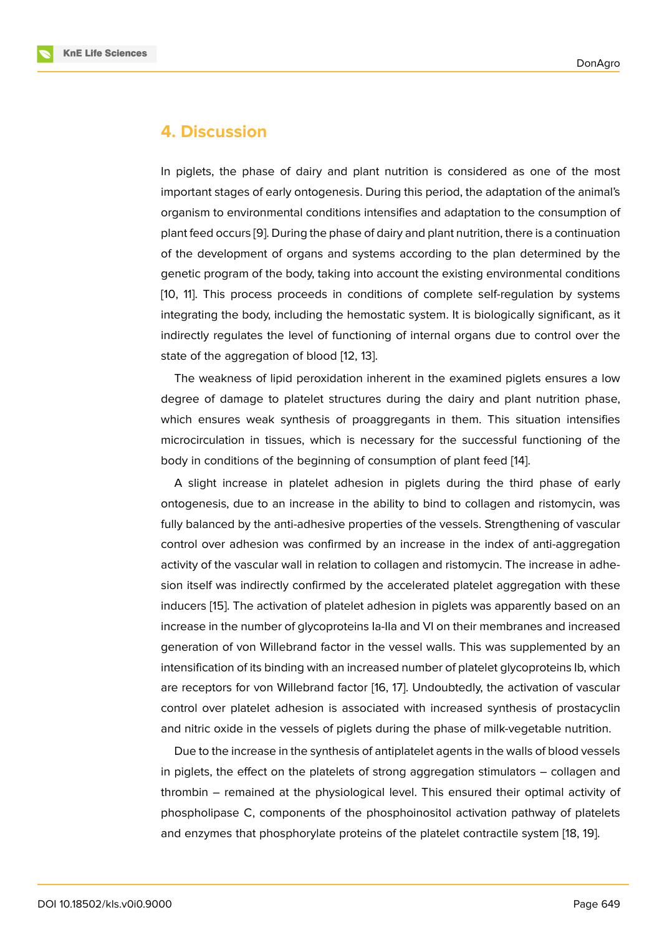### **4. Discussion**

In piglets, the phase of dairy and plant nutrition is considered as one of the most important stages of early ontogenesis. During this period, the adaptation of the animal's organism to environmental conditions intensifies and adaptation to the consumption of plant feed occurs [9]. During the phase of dairy and plant nutrition, there is a continuation of the development of organs and systems according to the plan determined by the genetic program of the body, taking into account the existing environmental conditions [10, 11]. This proc[es](#page-7-2)s proceeds in conditions of complete self-regulation by systems integrating the body, including the hemostatic system. It is biologically significant, as it indirectly regulates the level of functioning of internal organs due to control over the [sta](#page-7-3)t[e o](#page-7-4)f the aggregation of blood [12, 13].

The weakness of lipid peroxidation inherent in the examined piglets ensures a low degree of damage to platelet structures during the dairy and plant nutrition phase, which ensures weak synthesis o[f p](#page-7-5)[roa](#page-7-6)ggregants in them. This situation intensifies microcirculation in tissues, which is necessary for the successful functioning of the body in conditions of the beginning of consumption of plant feed [14].

A slight increase in platelet adhesion in piglets during the third phase of early ontogenesis, due to an increase in the ability to bind to collagen and ristomycin, was fully balanced by the anti-adhesive properties of the vessels. Stren[gth](#page-7-7)ening of vascular control over adhesion was confirmed by an increase in the index of anti-aggregation activity of the vascular wall in relation to collagen and ristomycin. The increase in adhesion itself was indirectly confirmed by the accelerated platelet aggregation with these inducers [15]. The activation of platelet adhesion in piglets was apparently based on an increase in the number of glycoproteins Ia-IIa and VI on their membranes and increased generation of von Willebrand factor in the vessel walls. This was supplemented by an intensific[atio](#page-7-8)n of its binding with an increased number of platelet glycoproteins Ib, which are receptors for von Willebrand factor [16, 17]. Undoubtedly, the activation of vascular control over platelet adhesion is associated with increased synthesis of prostacyclin and nitric oxide in the vessels of piglets during the phase of milk-vegetable nutrition.

Due to the increase in the synthesis of [an](#page-7-9)t[ipl](#page-7-10)atelet agents in the walls of blood vessels in piglets, the effect on the platelets of strong aggregation stimulators – collagen and thrombin – remained at the physiological level. This ensured their optimal activity of phospholipase C, components of the phosphoinositol activation pathway of platelets and enzymes that phosphorylate proteins of the platelet contractile system [18, 19].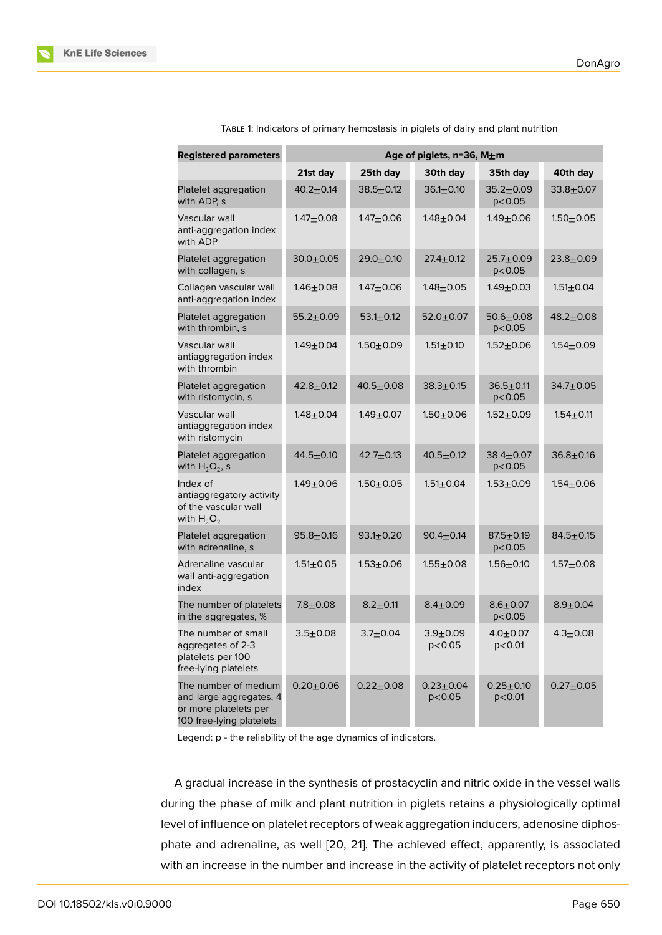| <b>Registered parameters</b>                                                                         | Age of piglets, n=36, M±m |                 |                           |                             |                 |
|------------------------------------------------------------------------------------------------------|---------------------------|-----------------|---------------------------|-----------------------------|-----------------|
|                                                                                                      | 21st day                  | 25th day        | 30th day                  | 35th day                    | 40th day        |
| Platelet aggregation<br>with ADP, s                                                                  | $40.2 + 0.14$             | $38.5 \pm 0.12$ | $36.1 \pm 0.10$           | $35.2 \pm 0.09$<br>p < 0.05 | $33.8 + 0.07$   |
| Vascular wall<br>anti-aggregation index<br>with ADP                                                  | $1.47 + 0.08$             | $1.47 + 0.06$   | $1.48 + 0.04$             | $1.49 + 0.06$               | $1.50 + 0.05$   |
| Platelet aggregation<br>with collagen, s                                                             | $30.0 + 0.05$             | $29.0 + 0.10$   | $27.4 \pm 0.12$           | $25.7 + 0.09$<br>p < 0.05   | $23.8 + 0.09$   |
| Collagen vascular wall<br>anti-aggregation index                                                     | $1.46 \pm 0.08$           | $1.47 + 0.06$   | $1.48 + 0.05$             | $1.49 + 0.03$               | $1.51 + 0.04$   |
| Platelet aggregation<br>with thrombin, s                                                             | $55.2 \pm 0.09$           | $53.1 \pm 0.12$ | $52.0 + 0.07$             | $50.6 + 0.08$<br>p < 0.05   | $48.2 + 0.08$   |
| Vascular wall<br>antiaggregation index<br>with thrombin                                              | $1.49 + 0.04$             | $1.50 + 0.09$   | $1.51 \pm 0.10$           | $1.52 + 0.06$               | $1.54 + 0.09$   |
| Platelet aggregation<br>with ristomycin, s                                                           | $42.8 + 0.12$             | $40.5 + 0.08$   | $38.3 + 0.15$             | $36.5 + 0.11$<br>p < 0.05   | $34.7 \pm 0.05$ |
| Vascular wall<br>antiaggregation index<br>with ristomycin                                            | $1.48 + 0.04$             | $1.49 + 0.07$   | $1.50 + 0.06$             | $1.52 + 0.09$               | $1.54 + 0.11$   |
| Platelet aggregation<br>with $H_2O_2$ , s                                                            | $44.5 + 0.10$             | $42.7 + 0.13$   | $40.5 + 0.12$             | $38.4 \pm 0.07$<br>p < 0.05 | $36.8 + 0.16$   |
| Index of<br>antiaggregatory activity<br>of the vascular wall<br>with $H_2O_2$                        | $1.49 + 0.06$             | $1.50 + 0.05$   | $1.51 \pm 0.04$           | $1.53 + 0.09$               | $1.54 + 0.06$   |
| Platelet aggregation<br>with adrenaline, s                                                           | $95.8 + 0.16$             | $93.1 \pm 0.20$ | $90.4 \pm 0.14$           | $87.5 \pm 0.19$<br>p < 0.05 | $84.5 \pm 0.15$ |
| Adrenaline vascular<br>wall anti-aggregation<br>index                                                | $1.51 \pm 0.05$           | $1.53 + 0.06$   | $1.55 + 0.08$             | $1.56 + 0.10$               | $1.57 + 0.08$   |
| The number of platelets<br>in the aggregates, %                                                      | $7.8 + 0.08$              | $8.2 + 0.11$    | $8.4 \pm 0.09$            | $8.6 + 0.07$<br>p < 0.05    | $8.9 + 0.04$    |
| The number of small<br>aggregates of 2-3<br>platelets per 100<br>free-lying platelets                | $3.5 + 0.08$              | $3.7 + 0.04$    | $3.9 + 0.09$<br>p < 0.05  | $4.0 + 0.07$<br>p < 0.01    | $4.3 \pm 0.08$  |
| The number of medium<br>and large aggregates, 4<br>or more platelets per<br>100 free-lying platelets | $0.20 + 0.06$             | $0.22 + 0.08$   | $0.23 + 0.04$<br>p < 0.05 | $0.25 + 0.10$<br>$p<$ 0.01  | $0.27 + 0.05$   |

TABLE 1: Indicators of primary hemostasis in piglets of dairy and plant nutrition

Legend: p - the reliability of the age dynamics of indicators.

A gradual increase in the synthesis of prostacyclin and nitric oxide in the vessel walls during the phase of milk and plant nutrition in piglets retains a physiologically optimal level of influence on platelet receptors of weak aggregation inducers, adenosine diphosphate and adrenaline, as well [20, 21]. The achieved effect, apparently, is associated with an increase in the number and increase in the activity of platelet receptors not only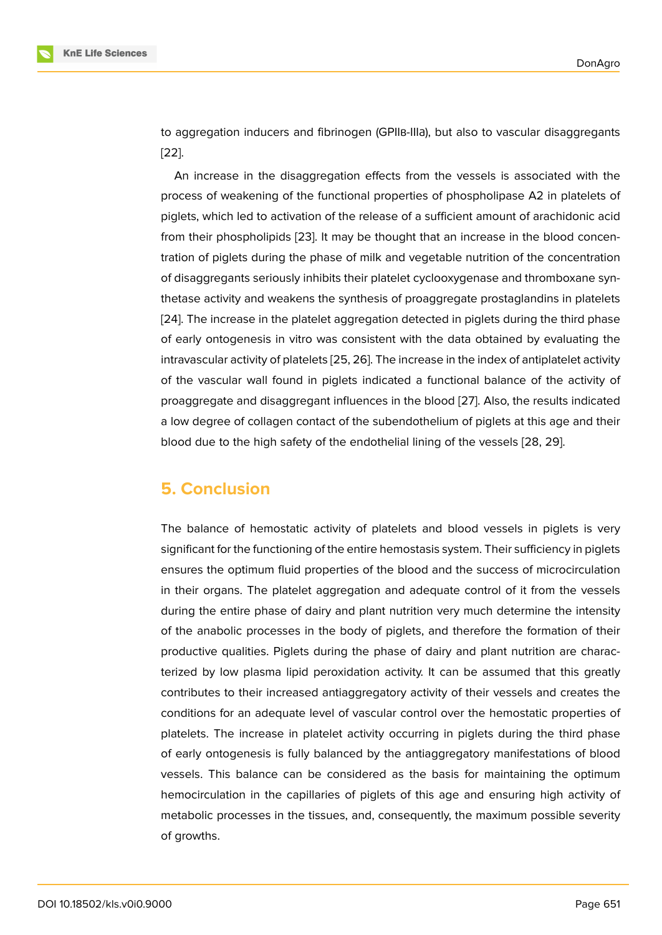to aggregation inducers and fibrinogen (GPIIв-IIIа), but also to vascular disaggregants [22].

An increase in the disaggregation effects from the vessels is associated with the process of weakening of the functional properties of phospholipase A2 in platelets of [pigl](#page-8-0)ets, which led to activation of the release of a sufficient amount of arachidonic acid from their phospholipids [23]. It may be thought that an increase in the blood concentration of piglets during the phase of milk and vegetable nutrition of the concentration of disaggregants seriously inhibits their platelet cyclooxygenase and thromboxane synthetase activity and weak[ens](#page-8-1) the synthesis of proaggregate prostaglandins in platelets [24]. The increase in the platelet aggregation detected in piglets during the third phase of early ontogenesis in vitro was consistent with the data obtained by evaluating the intravascular activity of platelets [25, 26]. The increase in the index of antiplatelet activity [of t](#page-8-2)he vascular wall found in piglets indicated a functional balance of the activity of proaggregate and disaggregant influences in the blood [27]. Also, the results indicated a low degree of collagen contac[t of](#page-8-3) [the](#page-8-4) subendothelium of piglets at this age and their blood due to the high safety of the endothelial lining of the vessels [28, 29].

## **5. Conclusion**

The balance of hemostatic activity of platelets and blood vessels in piglets is very significant for the functioning of the entire hemostasis system. Their sufficiency in piglets ensures the optimum fluid properties of the blood and the success of microcirculation in their organs. The platelet aggregation and adequate control of it from the vessels during the entire phase of dairy and plant nutrition very much determine the intensity of the anabolic processes in the body of piglets, and therefore the formation of their productive qualities. Piglets during the phase of dairy and plant nutrition are characterized by low plasma lipid peroxidation activity. It can be assumed that this greatly contributes to their increased antiaggregatory activity of their vessels and creates the conditions for an adequate level of vascular control over the hemostatic properties of platelets. The increase in platelet activity occurring in piglets during the third phase of early ontogenesis is fully balanced by the antiaggregatory manifestations of blood vessels. This balance can be considered as the basis for maintaining the optimum hemocirculation in the capillaries of piglets of this age and ensuring high activity of metabolic processes in the tissues, and, consequently, the maximum possible severity of growths.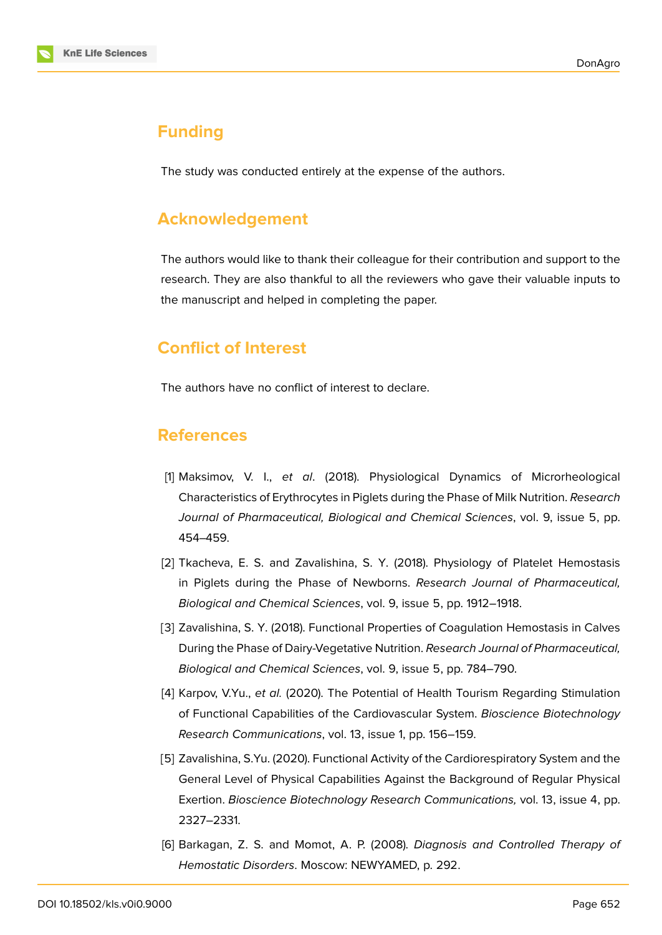

## **Funding**

The study was conducted entirely at the expense of the authors.

## **Acknowledgement**

The authors would like to thank their colleague for their contribution and support to the research. They are also thankful to all the reviewers who gave their valuable inputs to the manuscript and helped in completing the paper.

# **Conflict of Interest**

The authors have no conflict of interest to declare.

## **References**

- <span id="page-6-0"></span>[1] Maksimov, V. I., *et al*. (2018). Physiological Dynamics of Microrheological Characteristics of Erythrocytes in Piglets during the Phase of Milk Nutrition. *Research Journal of Pharmaceutical, Biological and Chemical Sciences*, vol. 9, issue 5, pp. 454–459.
- <span id="page-6-1"></span>[2] Tkacheva, E. S. and Zavalishina, S. Y. (2018). Physiology of Platelet Hemostasis in Piglets during the Phase of Newborns. *Research Journal of Pharmaceutical, Biological and Chemical Sciences*, vol. 9, issue 5, pp. 1912–1918.
- <span id="page-6-2"></span>[3] Zavalishina, S. Y. (2018). Functional Properties of Coagulation Hemostasis in Calves During the Phase of Dairy-Vegetative Nutrition. *Research Journal of Pharmaceutical, Biological and Chemical Sciences*, vol. 9, issue 5, pp. 784–790.
- <span id="page-6-3"></span>[4] Karpov, V.Yu., *et al.* (2020). The Potential of Health Tourism Regarding Stimulation of Functional Capabilities of the Cardiovascular System. *Bioscience Biotechnology Research Communications*, vol. 13, issue 1, pp. 156–159.
- <span id="page-6-4"></span>[5] Zavalishina, S.Yu. (2020). Functional Activity of the Cardiorespiratory System and the General Level of Physical Capabilities Against the Background of Regular Physical Exertion. *Bioscience Biotechnology Research Communications,* vol. 13, issue 4, pp. 2327–2331.
- <span id="page-6-5"></span>[6] Barkagan, Z. S. and Momot, A. P. (2008). *Diagnosis and Controlled Therapy of Hemostatic Disorders*. Moscow: NEWYAMED, p. 292.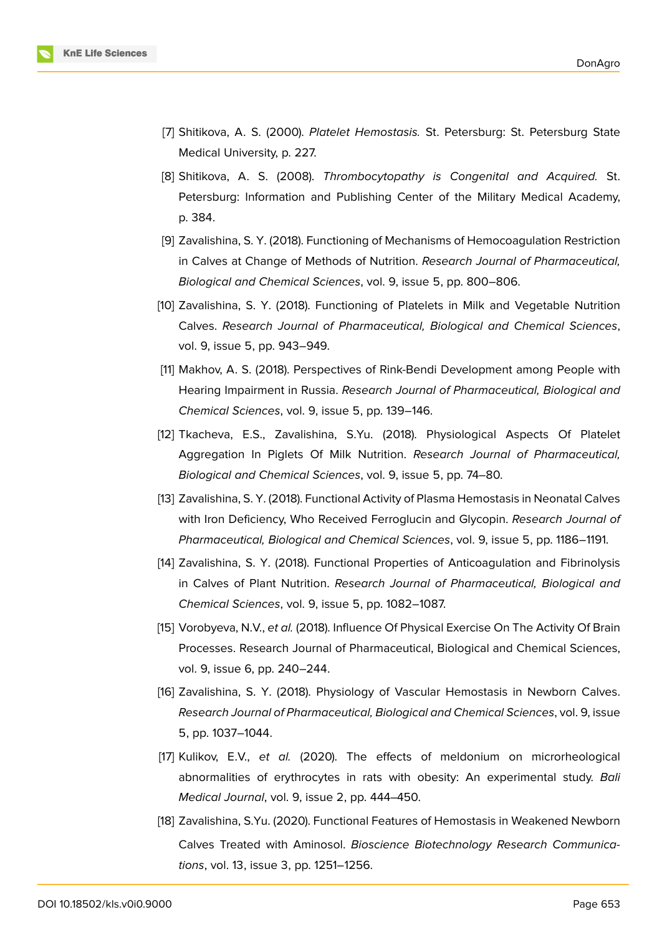

- <span id="page-7-0"></span>[7] Shitikova, A. S. (2000). *Platelet Hemostasis.* St. Petersburg: St. Petersburg State Medical University, p. 227.
- <span id="page-7-1"></span>[8] Shitikova, A. S. (2008). *Thrombocytopathy is Congenital and Acquired.* St. Petersburg: Information and Publishing Center of the Military Medical Academy, p. 384.
- <span id="page-7-2"></span>[9] Zavalishina, S. Y. (2018). Functioning of Mechanisms of Hemocoagulation Restriction in Calves at Change of Methods of Nutrition. *Research Journal of Pharmaceutical, Biological and Chemical Sciences*, vol. 9, issue 5, pp. 800–806.
- <span id="page-7-3"></span>[10] Zavalishina, S. Y. (2018). Functioning of Platelets in Milk and Vegetable Nutrition Calves. *Research Journal of Pharmaceutical, Biological and Chemical Sciences*, vol. 9, issue 5, pp. 943–949.
- <span id="page-7-4"></span>[11] Makhov, A. S. (2018). Perspectives of Rink-Bendi Development among People with Hearing Impairment in Russia. *Research Journal of Pharmaceutical, Biological and Chemical Sciences*, vol. 9, issue 5, pp. 139–146.
- <span id="page-7-5"></span>[12] Tkacheva, E.S., Zavalishina, S.Yu. (2018). Physiological Aspects Of Platelet Aggregation In Piglets Of Milk Nutrition. *Research Journal of Pharmaceutical, Biological and Chemical Sciences*, vol. 9, issue 5, pp. 74–80.
- <span id="page-7-6"></span>[13] Zavalishina, S. Y. (2018). Functional Activity of Plasma Hemostasis in Neonatal Calves with Iron Deficiency, Who Received Ferroglucin and Glycopin. *Research Journal of Pharmaceutical, Biological and Chemical Sciences*, vol. 9, issue 5, pp. 1186–1191.
- <span id="page-7-7"></span>[14] Zavalishina, S. Y. (2018). Functional Properties of Anticoagulation and Fibrinolysis in Calves of Plant Nutrition. *Research Journal of Pharmaceutical, Biological and Chemical Sciences*, vol. 9, issue 5, pp. 1082–1087.
- <span id="page-7-8"></span>[15] Vorobyeva, N.V., *et al.* (2018). Influence Of Physical Exercise On The Activity Of Brain Processes. Research Journal of Pharmaceutical, Biological and Chemical Sciences, vol. 9, issue 6, pp. 240–244.
- <span id="page-7-9"></span>[16] Zavalishina, S. Y. (2018). Physiology of Vascular Hemostasis in Newborn Calves. *Research Journal of Pharmaceutical, Biological and Chemical Sciences*, vol. 9, issue 5, pp. 1037–1044.
- <span id="page-7-10"></span>[17] Kulikov, E.V., *et al.* (2020). The effects of meldonium on microrheological abnormalities of erythrocytes in rats with obesity: An experimental study. *Bali Medical Journal*, vol. 9, issue 2, pp. 444–450.
- [18] Zavalishina, S.Yu. (2020). Functional Features of Hemostasis in Weakened Newborn Calves Treated with Aminosol. *Bioscience Biotechnology Research Communications*, vol. 13, issue 3, pp. 1251–1256.